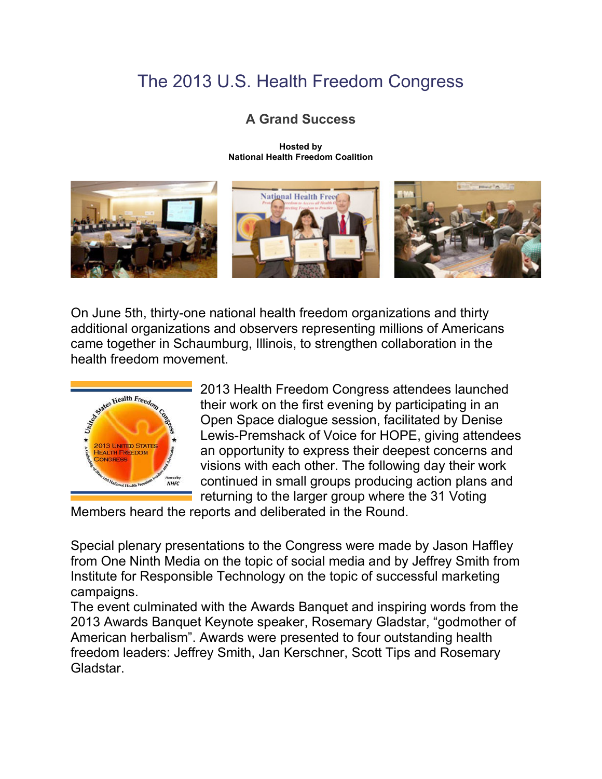## The 2013 U.S. Health Freedom Congress

## **A Grand Success**

**Hosted by National Health Freedom Coalition**



On June 5th, thirty-one national health freedom organizations and thirty additional organizations and observers representing millions of Americans came together in Schaumburg, Illinois, to strengthen collaboration in the health freedom movement.



2013 Health Freedom Congress attendees launched their work on the first evening by participating in an Open Space dialogue session, facilitated by Denise Lewis-Premshack of Voice for HOPE, giving attendees an opportunity to express their deepest concerns and visions with each other. The following day their work continued in small groups producing action plans and returning to the larger group where the 31 Voting

Members heard the reports and deliberated in the Round.

Special plenary presentations to the Congress were made by Jason Haffley from One Ninth Media on the topic of social media and by Jeffrey Smith from Institute for Responsible Technology on the topic of successful marketing campaigns.

The event culminated with the Awards Banquet and inspiring words from the 2013 Awards Banquet Keynote speaker, Rosemary Gladstar, "godmother of American herbalism". Awards were presented to four outstanding health freedom leaders: Jeffrey Smith, Jan Kerschner, Scott Tips and Rosemary Gladstar.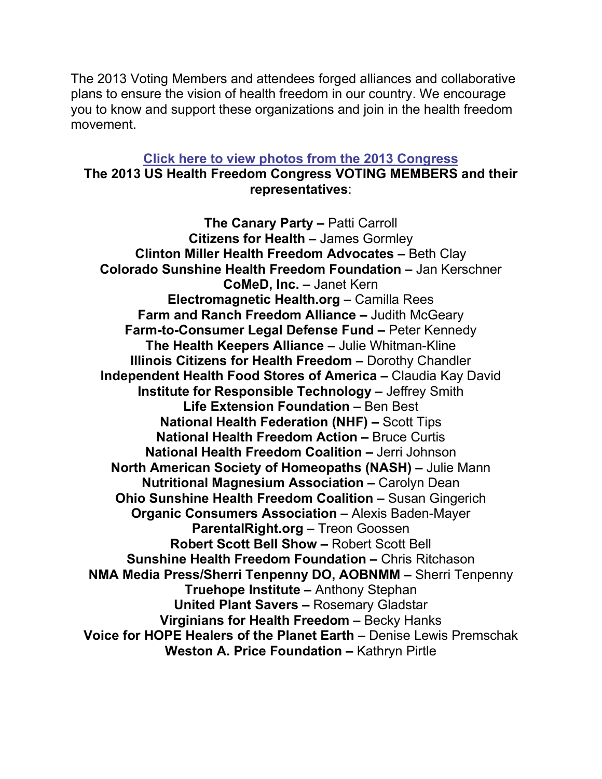The 2013 Voting Members and attendees forged alliances and collaborative plans to ensure the vision of health freedom in our country. We encourage you to know and support these organizations and join in the health freedom movement.

#### **Click here to view photos from the 2013 [Congress](https://2013healthfreedomcongress.shutterfly.com/pictures) The 2013 US Health Freedom Congress VOTING MEMBERS and their representatives**:

**The Canary Party –** Patti Carroll **Citizens for Health –** James Gormley **Clinton Miller Health Freedom Advocates –** Beth Clay **Colorado Sunshine Health Freedom Foundation –** Jan Kerschner **CoMeD, Inc. –** Janet Kern **Electromagnetic Health.org –** Camilla Rees **Farm and Ranch Freedom Alliance –** Judith McGeary **Farm-to-Consumer Legal Defense Fund –** Peter Kennedy **The Health Keepers Alliance –** Julie Whitman-Kline **Illinois Citizens for Health Freedom –** Dorothy Chandler **Independent Health Food Stores of America –** Claudia Kay David **Institute for Responsible Technology –** Jeffrey Smith **Life Extension Foundation –** Ben Best **National Health Federation (NHF) –** Scott Tips **National Health Freedom Action –** Bruce Curtis **National Health Freedom Coalition –** Jerri Johnson **North American Society of Homeopaths (NASH) –** Julie Mann **Nutritional Magnesium Association –** Carolyn Dean **Ohio Sunshine Health Freedom Coalition –** Susan Gingerich **Organic Consumers Association –** Alexis Baden-Mayer **ParentalRight.org –** Treon Goossen **Robert Scott Bell Show –** Robert Scott Bell **Sunshine Health Freedom Foundation –** Chris Ritchason **NMA Media Press/Sherri Tenpenny DO, AOBNMM –** Sherri Tenpenny **Truehope Institute –** Anthony Stephan **United Plant Savers –** Rosemary Gladstar **Virginians for Health Freedom –** Becky Hanks **Voice for HOPE Healers of the Planet Earth –** Denise Lewis Premschak **Weston A. Price Foundation –** Kathryn Pirtle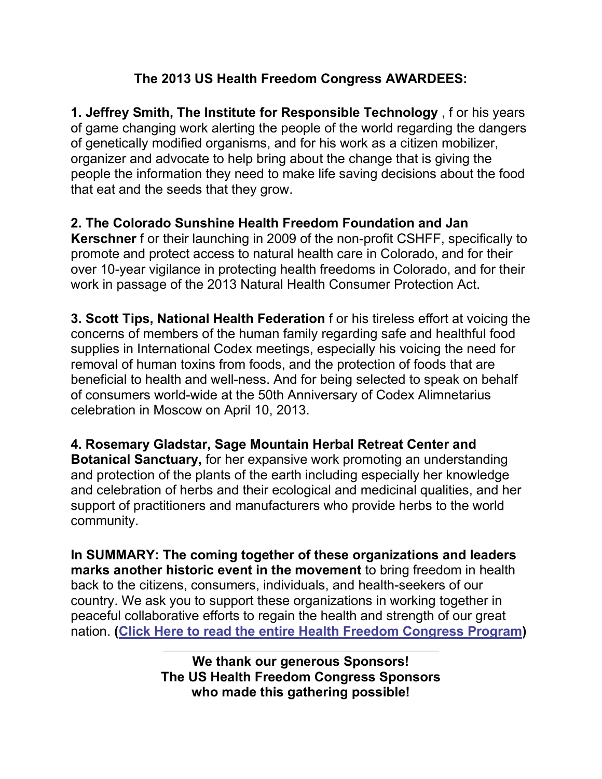#### **The 2013 US Health Freedom Congress AWARDEES:**

**1. Jeffrey Smith, The Institute for Responsible Technology** , f or his years of game changing work alerting the people of the world regarding the dangers of genetically modified organisms, and for his work as a citizen mobilizer, organizer and advocate to help bring about the change that is giving the people the information they need to make life saving decisions about the food that eat and the seeds that they grow.

**2. The Colorado Sunshine Health Freedom Foundation and Jan Kerschner** f or their launching in 2009 of the non-profit CSHFF, specifically to promote and protect access to natural health care in Colorado, and for their over 10-year vigilance in protecting health freedoms in Colorado, and for their work in passage of the 2013 Natural Health Consumer Protection Act.

**3. Scott Tips, National Health Federation** f or his tireless effort at voicing the concerns of members of the human family regarding safe and healthful food supplies in International Codex meetings, especially his voicing the need for removal of human toxins from foods, and the protection of foods that are beneficial to health and well-ness. And for being selected to speak on behalf of consumers world-wide at the 50th Anniversary of Codex Alimnetarius celebration in Moscow on April 10, 2013.

**4. Rosemary Gladstar, Sage Mountain Herbal Retreat Center and Botanical Sanctuary,** for her expansive work promoting an understanding and protection of the plants of the earth including especially her knowledge and celebration of herbs and their ecological and medicinal qualities, and her support of practitioners and manufacturers who provide herbs to the world community.

**In SUMMARY: The coming together of these organizations and leaders marks another historic event in the movement** to bring freedom in health back to the citizens, consumers, individuals, and health-seekers of our country. We ask you to support these organizations in working together in peaceful collaborative efforts to regain the health and strength of our great nation. **(Click Here to read the entire Health Freedom [Congress](https://nationalhealthfreedom.org/wp-content/uploads/2013HFC_Program_053013.pdf) Program)**

> **We thank our generous Sponsors! The US Health Freedom Congress Sponsors who made this gathering possible!**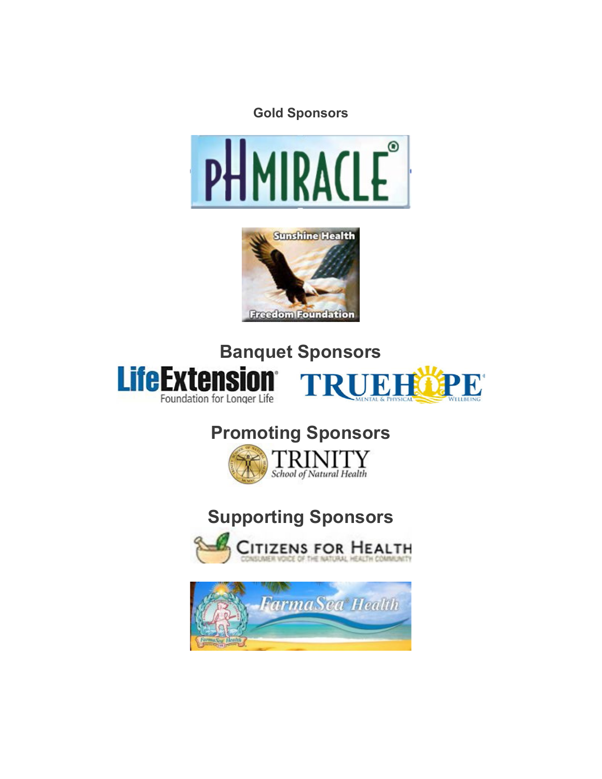





## **Banquet Sponsors LifeExtensio TRUEHOPE** Foundation for Longer Life

# **Promoting Sponsors**



# **Supporting Sponsors**



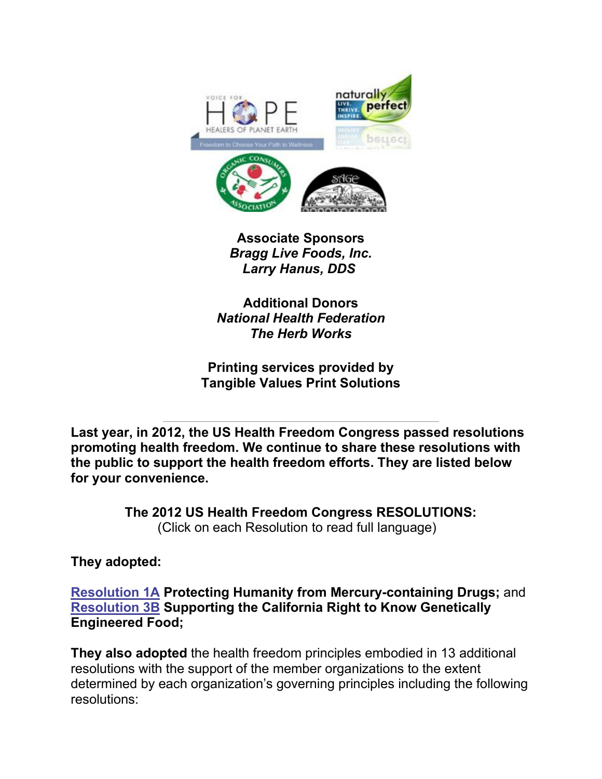

**Associate Sponsors** *Bragg Live Foods, Inc. Larry Hanus, DDS*

**Additional Donors** *National Health Federation The Herb Works*

**Printing services provided by Tangible Values Print Solutions**

**Last year, in 2012, the US Health Freedom Congress passed resolutions promoting health freedom. We continue to share these resolutions with the public to support the health freedom efforts. They are listed below for your convenience.**

> **The 2012 US Health Freedom Congress RESOLUTIONS:** (Click on each Resolution to read full language)

#### **They adopted:**

**[Resolution](https://nationalhealthfreedom.org/wp-content/uploads/1AMercury1.pdf) 1A Protecting Humanity from Mercury-containing Drugs;** and **[Resolution](https://nationalhealthfreedom.org/wp-content/uploads/3B-rtf-GMO-3B-Resolution-long-CA-Initiative1.pdf) 3B Supporting the California Right to Know Genetically Engineered Food;** 

**They also adopted** the health freedom principles embodied in 13 additional resolutions with the support of the member organizations to the extent determined by each organization's governing principles including the following resolutions: